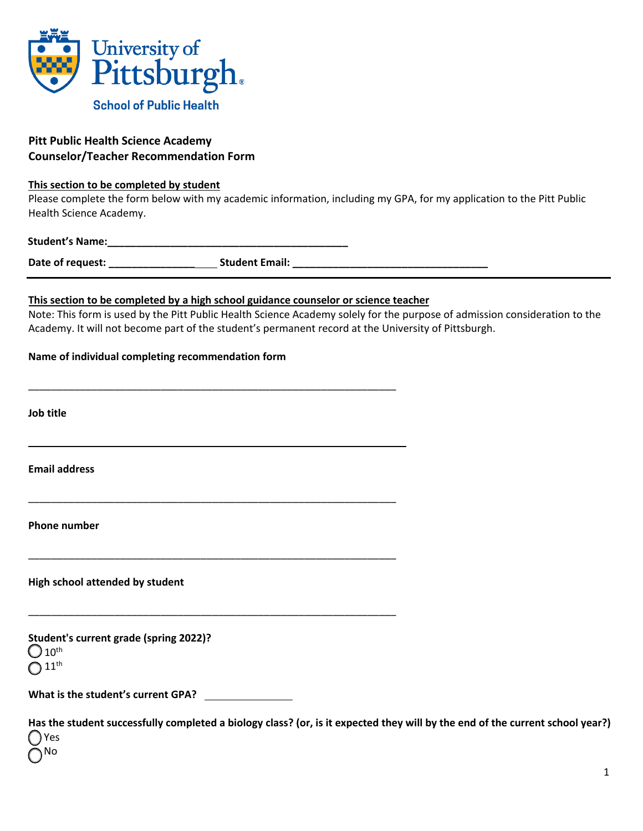

# **Pitt Public Health Science Academy Counselor/Teacher Recommendation Form**

#### **This section to be completed by student**

Please complete the form below with my academic information, including my GPA, for my application to the Pitt Public Health Science Academy.

## Student's Name:

**Date of request: \_\_\_\_\_\_\_\_\_\_\_\_\_\_\_ Student Email: \_\_\_\_\_\_\_\_\_\_\_\_\_\_\_\_\_\_\_\_\_\_\_\_\_\_\_\_\_\_\_\_\_\_** 

### **This section to be completed by a high school guidance counselor or science teacher**

\_\_\_\_\_\_\_\_\_\_\_\_\_\_\_\_\_\_\_\_\_\_\_\_\_\_\_\_\_\_\_\_\_\_\_\_\_\_\_\_\_\_\_\_\_\_\_\_\_\_\_\_\_\_\_\_\_\_\_\_\_\_\_\_

\_\_\_\_\_\_\_\_\_\_\_\_\_\_\_\_\_\_\_\_\_\_\_\_\_\_\_\_\_\_\_\_\_\_\_\_\_\_\_\_\_\_\_\_\_\_\_\_\_\_\_\_\_\_\_\_\_\_\_\_\_\_\_\_

\_\_\_\_\_\_\_\_\_\_\_\_\_\_\_\_\_\_\_\_\_\_\_\_\_\_\_\_\_\_\_\_\_\_\_\_\_\_\_\_\_\_\_\_\_\_\_\_\_\_\_\_\_\_\_\_\_\_\_\_\_\_\_\_

\_\_\_\_\_\_\_\_\_\_\_\_\_\_\_\_\_\_\_\_\_\_\_\_\_\_\_\_\_\_\_\_\_\_\_\_\_\_\_\_\_\_\_\_\_\_\_\_\_\_\_\_\_\_\_\_\_\_\_\_\_\_\_\_

Note: This form is used by the Pitt Public Health Science Academy solely for the purpose of admission consideration to the Academy. It will not become part of the student's permanent record at the University of Pittsburgh.

### **Name of individual completing recommendation form**

**Job title** 

**Email address** 

**Phone number** 

**High school attended by student**

**Student's current grade (spring 2022)?**  $10^{\text{th}}$  $11^{\text{th}}$ 

**What is the student's current GPA?** 

**Has the student successfully completed a biology class? (or, is it expected they will by the end of the current school year?)**